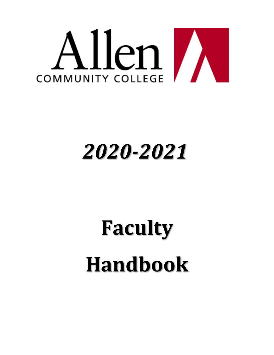

## *2020-2021*

# **Faculty Handbook**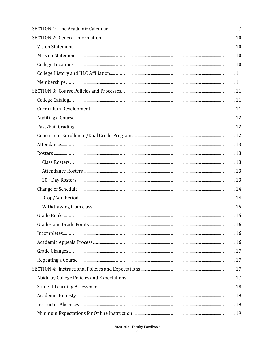| $\label{cor:1} {\rm Curriculum\ Development.} \tiny\textit{m.m.} \tiny\textit{m.m.} \tiny\textit{m.m.} \tiny\textit{m.m.} \tiny\textit{m.m.} \tiny\textit{m.m.} \tiny\textit{m.m.} \tiny\textit{m.m.} \tiny\textit{m.m.} \tiny\textit{m.m.} \tiny\textit{m.m.} \tiny\textit{m.m.} \tiny\textit{m.m.} \tiny\textit{m.m.} \tiny\textit{m.m.} \tiny\textit{m.m.} \tiny\textit{m.m.} \tiny\textit{m.m.} \tiny\textit{m.m.} \tiny\textit{m.m.}$ |  |
|--------------------------------------------------------------------------------------------------------------------------------------------------------------------------------------------------------------------------------------------------------------------------------------------------------------------------------------------------------------------------------------------------------------------------------------------|--|
|                                                                                                                                                                                                                                                                                                                                                                                                                                            |  |
|                                                                                                                                                                                                                                                                                                                                                                                                                                            |  |
|                                                                                                                                                                                                                                                                                                                                                                                                                                            |  |
|                                                                                                                                                                                                                                                                                                                                                                                                                                            |  |
|                                                                                                                                                                                                                                                                                                                                                                                                                                            |  |
|                                                                                                                                                                                                                                                                                                                                                                                                                                            |  |
|                                                                                                                                                                                                                                                                                                                                                                                                                                            |  |
|                                                                                                                                                                                                                                                                                                                                                                                                                                            |  |
|                                                                                                                                                                                                                                                                                                                                                                                                                                            |  |
|                                                                                                                                                                                                                                                                                                                                                                                                                                            |  |
|                                                                                                                                                                                                                                                                                                                                                                                                                                            |  |
|                                                                                                                                                                                                                                                                                                                                                                                                                                            |  |
|                                                                                                                                                                                                                                                                                                                                                                                                                                            |  |
|                                                                                                                                                                                                                                                                                                                                                                                                                                            |  |
|                                                                                                                                                                                                                                                                                                                                                                                                                                            |  |
|                                                                                                                                                                                                                                                                                                                                                                                                                                            |  |
|                                                                                                                                                                                                                                                                                                                                                                                                                                            |  |
|                                                                                                                                                                                                                                                                                                                                                                                                                                            |  |
|                                                                                                                                                                                                                                                                                                                                                                                                                                            |  |
|                                                                                                                                                                                                                                                                                                                                                                                                                                            |  |
|                                                                                                                                                                                                                                                                                                                                                                                                                                            |  |
|                                                                                                                                                                                                                                                                                                                                                                                                                                            |  |
|                                                                                                                                                                                                                                                                                                                                                                                                                                            |  |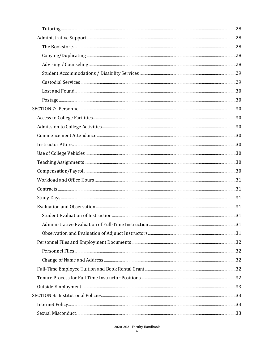| Contracts 31 |  |
|--------------|--|
|              |  |
|              |  |
|              |  |
|              |  |
|              |  |
|              |  |
|              |  |
|              |  |
|              |  |
|              |  |
|              |  |
|              |  |
|              |  |
|              |  |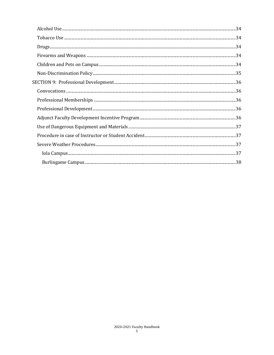| ${\bf To bacco Use } \label{a} {\bf .34}$ |  |
|-------------------------------------------|--|
|                                           |  |
|                                           |  |
|                                           |  |
|                                           |  |
|                                           |  |
|                                           |  |
|                                           |  |
|                                           |  |
|                                           |  |
|                                           |  |
|                                           |  |
|                                           |  |
|                                           |  |
|                                           |  |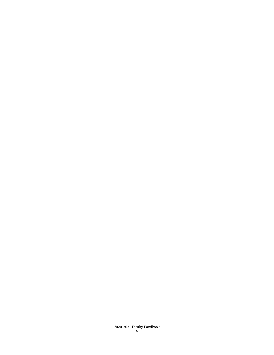#### 2020-2021 Faculty Handbook 6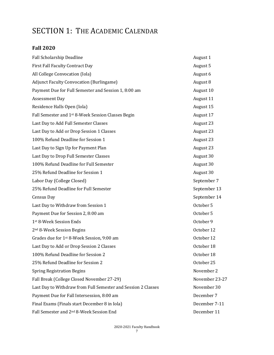### <span id="page-6-0"></span>SECTION 1: THE ACADEMIC CALENDAR

### **Fall 2020**

| Fall Scholarship Deadline                                      | August 1       |
|----------------------------------------------------------------|----------------|
| First Fall Faculty Contract Day                                | August 5       |
| All College Convocation (Iola)                                 | August 6       |
| <b>Adjunct Faculty Convocation (Burlingame)</b>                | August 8       |
| Payment Due for Full Semester and Session 1, 8:00 am           | August 10      |
| <b>Assessment Day</b>                                          | August 11      |
| Residence Halls Open (Iola)                                    | August 15      |
| Fall Semester and 1 <sup>st</sup> 8-Week Session Classes Begin | August 17      |
| Last Day to Add Full Semester Classes                          | August 23      |
| Last Day to Add or Drop Session 1 Classes                      | August 23      |
| 100% Refund Deadline for Session 1                             | August 23      |
| Last Day to Sign Up for Payment Plan                           | August 23      |
| Last Day to Drop Full Semester Classes                         | August 30      |
| 100% Refund Deadline for Full Semester                         | August 30      |
| 25% Refund Deadline for Session 1                              | August 30      |
| Labor Day (College Closed)                                     | September 7    |
| 25% Refund Deadline for Full Semester                          | September 13   |
| Census Day                                                     | September 14   |
| Last Day to Withdraw from Session 1                            | October 5      |
| Payment Due for Session 2, 8:00 am                             | October 5      |
| 1st 8-Week Session Ends                                        | October 9      |
| 2 <sup>nd</sup> 8-Week Session Begins                          | October 12     |
| Grades due for 1st 8-Week Session, 9:00 am                     | October 12     |
| Last Day to Add or Drop Session 2 Classes                      | October 18     |
| 100% Refund Deadline for Session 2                             | October 18     |
| 25% Refund Deadline for Session 2                              | October 25     |
| <b>Spring Registration Begins</b>                              | November 2     |
| Fall Break (College Closed November 27-29)                     | November 23-27 |
| Last Day to Withdraw from Full Semester and Session 2 Classes  | November 30    |
| Payment Due for Fall Intersession, 8:00 am                     | December 7     |
| Final Exams (Finals start December 8 in Iola)                  | December 7-11  |
| Fall Semester and 2 <sup>nd</sup> 8-Week Session End           | December 11    |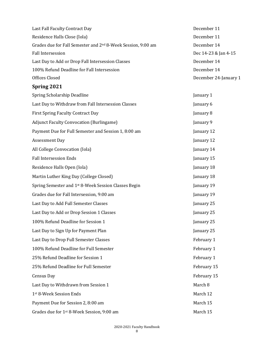| Last Fall Faculty Contract Day                                           | December 11           |
|--------------------------------------------------------------------------|-----------------------|
| Residence Halls Close (Iola)                                             | December 11           |
| Grades due for Fall Semester and 2 <sup>nd</sup> 8-Week Session, 9:00 am | December 14           |
| <b>Fall Intersession</b>                                                 | Dec 14-23 & Jan 4-15  |
| Last Day to Add or Drop Fall Intersession Classes                        | December 14           |
| 100% Refund Deadline for Fall Intersession                               | December 14           |
| Offices Closed                                                           | December 24-January 1 |
|                                                                          |                       |

### **Spring 2021**

| Spring Scholarship Deadline                          | January 1   |
|------------------------------------------------------|-------------|
| Last Day to Withdraw from Fall Intersession Classes  | January 6   |
| First Spring Faculty Contract Day                    | January 8   |
| <b>Adjunct Faculty Convocation (Burlingame)</b>      | January 9   |
| Payment Due for Full Semester and Session 1, 8:00 am | January 12  |
| <b>Assessment Day</b>                                | January 12  |
| All College Convocation (Iola)                       | January 14  |
| <b>Fall Intersession Ends</b>                        | January 15  |
| Residence Halls Open (Iola)                          | January 18  |
| Martin Luther King Day (College Closed)              | January 18  |
| Spring Semester and 1st 8-Week Session Classes Begin | January 19  |
| Grades due for Fall Intersession, 9:00 am            | January 19  |
| Last Day to Add Full Semester Classes                | January 25  |
| Last Day to Add or Drop Session 1 Classes            | January 25  |
| 100% Refund Deadline for Session 1                   | January 25  |
| Last Day to Sign Up for Payment Plan                 | January 25  |
| Last Day to Drop Full Semester Classes               | February 1  |
| 100% Refund Deadline for Full Semester               | February 1  |
| 25% Refund Deadline for Session 1                    | February 1  |
| 25% Refund Deadline for Full Semester                | February 15 |
| Census Day                                           | February 15 |
| Last Day to Withdrawn from Session 1                 | March 8     |
| 1st 8-Week Session Ends                              | March 12    |
| Payment Due for Session 2, 8:00 am                   | March 15    |
| Grades due for 1st 8-Week Session, 9:00 am           | March 15    |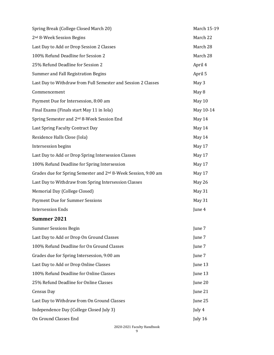| Spring Break (College Closed March 20)                                     | March 15-19 |
|----------------------------------------------------------------------------|-------------|
| 2 <sup>nd</sup> 8-Week Session Begins                                      | March 22    |
| Last Day to Add or Drop Session 2 Classes                                  | March 28    |
| 100% Refund Deadline for Session 2                                         | March 28    |
| 25% Refund Deadline for Session 2                                          | April 4     |
| <b>Summer and Fall Registration Begins</b>                                 | April 5     |
| Last Day to Withdraw from Full Semester and Session 2 Classes              | May 3       |
| Commencement                                                               | May 8       |
| Payment Due for Intersession, 8:00 am                                      | May 10      |
| Final Exams (Finals start May 11 in Iola)                                  | May 10-14   |
| Spring Semester and 2 <sup>nd</sup> 8-Week Session End                     | May 14      |
| Last Spring Faculty Contract Day                                           | May 14      |
| Residence Halls Close (Iola)                                               | May 14      |
| Intersession begins                                                        | May 17      |
| Last Day to Add or Drop Spring Intersession Classes                        | May 17      |
| 100% Refund Deadline for Spring Intersession                               | May 17      |
| Grades due for Spring Semester and 2 <sup>nd</sup> 8-Week Session, 9:00 am | May 17      |
| Last Day to Withdraw from Spring Intersession Classes                      | May 26      |
| Memorial Day (College Closed)                                              | May 31      |
| <b>Payment Due for Summer Sessions</b>                                     | May 31      |
| <b>Intersession Ends</b>                                                   | June 4      |
| Summer 2021                                                                |             |
| <b>Summer Sessions Begin</b>                                               | June 7      |
| Last Day to Add or Drop On Ground Classes                                  | June 7      |
| 100% Refund Deadline for On Ground Classes                                 | June 7      |
| Grades due for Spring Intersession, 9:00 am                                | June 7      |
| Last Day to Add or Drop Online Classes                                     | June 13     |
| 100% Refund Deadline for Online Classes                                    | June 13     |
| 25% Refund Deadline for Online Classes                                     | June 20     |
| Census Day                                                                 | June 21     |
| Last Day to Withdraw from On Ground Classes                                | June 25     |
| Independence Day (College Closed July 3)                                   | July 4      |
| On Ground Classes End                                                      | July 16     |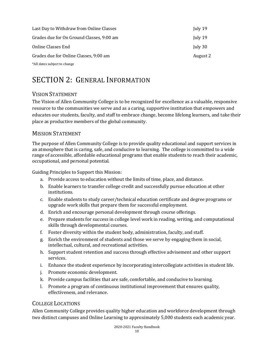| Last Day to Withdraw from Online Classes  | July 19  |
|-------------------------------------------|----------|
| Grades due for On Ground Classes, 9:00 am | July 19  |
| Online Classes End                        | July 30  |
| Grades due for Online Classes, 9:00 am    | August 2 |
| *All dates subject to change              |          |

### <span id="page-9-0"></span>SECTION 2: GENERAL INFORMATION

### <span id="page-9-1"></span>VISION STATEMENT

The Vision of Allen Community College is to be recognized for excellence as a valuable, responsive resource to the communities we serve and as a caring, supportive institution that empowers and educates our students, faculty, and staff to embrace change, become lifelong learners, and take their place as productive members of the global community.

### <span id="page-9-2"></span>MISSION STATEMENT

The purpose of Allen Community College is to provide quality educational and support services in an atmosphere that is caring, safe, and conducive to learning. The college is committed to a wide range of accessible, affordable educational programs that enable students to reach their academic, occupational, and personal potential.

Guiding Principles to Support this Mission:

- a. Provide access to education without the limits of time, place, and distance.
- b. Enable learners to transfer college credit and successfully pursue education at other institutions.
- c. Enable students to study career/technical education certificate and degree programs or upgrade work skills that prepare them for successful employment.
- d. Enrich and encourage personal development through course offerings.
- e. Prepare students for success in college level work in reading, writing, and computational skills through developmental courses.
- f. Foster diversity within the student body, administration, faculty, and staff.
- g. Enrich the environment of students and those we serve by engaging them in social, intellectual, cultural, and recreational activities.
- h. Support student retention and success through effective advisement and other support services.
- i. Enhance the student experience by incorporating intercollegiate activities in student life.
- j. Promote economic development.
- k. Provide campus facilities that are safe, comfortable, and conducive to learning.
- l. Promote a program of continuous institutional improvement that ensures quality, effectiveness, and relevance.

### <span id="page-9-3"></span>COLLEGE LOCATIONS

Allen Community College provides quality higher education and workforce development through two distinct campuses and Online Learning to approximately 5,000 students each academic year.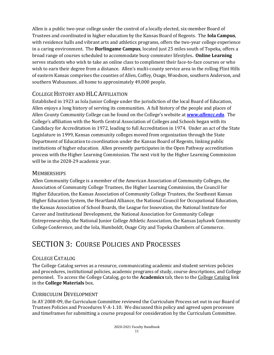Allen is a public two-year college under the control of a locally elected, six-member Board of Trustees and coordinated in higher education by the Kansas Board of Regents. The **Iola Campus**, with residence halls and vibrant arts and athletics programs, offers the two-year college experience in a caring environment. The **Burlingame Campus**, located just 25 miles south of Topeka, offers a broad range of courses scheduled to accommodate busy commuter lifestyles**. Online Learning** serves students who wish to take an online class to compliment their face-to-face courses or who wish to earn their degree from a distance. Allen's multi-county service area in the rolling Flint Hills of eastern Kansas comprises the counties of Allen, Coffey, Osage, Woodson, southern Anderson, and southern Wabaunsee, all home to approximately 49,000 people.

### <span id="page-10-0"></span>COLLEGE HISTORY AND HLC AFFILIATION

Established in 1923 as Iola Junior College under the jurisdiction of the local Board of Education, Allen enjoys a long history of serving its communities. A full history of the people and places of Allen County Community College can be found on the College's website at *[www.allencc.edu](http://www.allencc.edu/)*. The College's affiliation with the North Central Association of Colleges and Schools began with its Candidacy for Accreditation in 1972, leading to full Accreditation in 1974. Under an act of the State Legislature in 1999, Kansas community colleges moved from organization through the State Department of Education to coordination under the Kansas Board of Regents, linking public institutions of higher education. Allen presently participates in the Open Pathway accreditation process with the Higher Learning Commission. The next visit by the Higher Learning Commission will be in the 2028-29 academic year.

### <span id="page-10-1"></span>**MEMBERSHIPS**

Allen Community College is a member of the American Association of Community Colleges, the Association of Community College Trustees, the Higher Learning Commission, the Council for Higher Education, the Kansas Association of Community College Trustees, the Southeast Kansas Higher Education System, the Heartland Alliance, the National Council for Occupational Education, the Kansas Association of School Boards, the League for Innovation, the National Institute for Career and Institutional Development, the National Association for Community College Entrepreneurship, the National Junior College Athletic Association, the Kansas Jayhawk Community College Conference, and the Iola, Humboldt, Osage City and Topeka Chambers of Commerce.

### <span id="page-10-2"></span>SECTION 3: COURSE POLICIES AND PROCESSES

### <span id="page-10-3"></span>COLLEGE CATALOG

The College Catalog serves as a resource, communicating academic and student services policies and procedures, institutional policies, academic programs of study, course descriptions, and College personnel. To access the College Catalog, go to the **Academics** tab, then to the College Catalog link in the **College Materials** box.

### <span id="page-10-4"></span>CURRICULUM DEVELOPMENT

In AY 2008-09, the Curriculum Committee reviewed the Curriculum Process set out in our Board of Trustees Policies and Procedures V-A-1.10. We discussed this policy and agreed upon processes and timeframes for submitting a course proposal for consideration by the Curriculum Committee.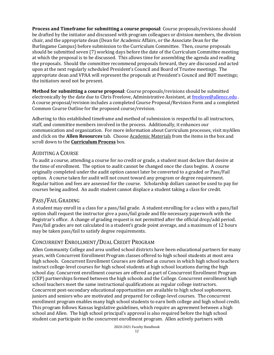**Process and Timeframe for submitting a course proposal**: Course proposals/revisions should be drafted by the initiator and discussed with program colleagues or division members, the division chair, and the appropriate dean (Dean for Academic Affairs, or the Associate Dean for the Burlingame Campus) before submission to the Curriculum Committee. Then, course proposals should be submitted seven (7) working days before the date of the Curriculum Committee meeting at which the proposal is to be discussed. This allows time for assembling the agenda and reading the proposals. Should the committee recommend proposals forward, they are discussed and acted upon at the next regularly scheduled President's Council and Board of Trustee meetings. The appropriate dean and VPAA will represent the proposals at President's Council and BOT meetings; the initiators need not be present.

**Method for submitting a course proposal**: Course proposals/revisions should be submitted electronically by the date due to Chris Freelove, Administrative Assistant, a[t freelove@allencc.edu](mailto:freelove@allencc.edu). A course proposal/revision includes a completed Course Proposal/Revision Form and a completed Common Course Outline for the proposed course/revision.

Adhering to this established timeframe and method of submission is respectful to all instructors, staff, and committee members involved in the process. Additionally, it enhances our communication and organization. For more information about Curriculum processes, visit myAllen and click on the **Allen Resources** tab. Choose Academic Materials from the items in the box and scroll down to the **Curriculum Process** box.

### <span id="page-11-0"></span>AUDITING A COURSE

To audit a course, attending a course for no credit or grade, a student must declare that desire at the time of enrollment. The option to audit cannot be changed once the class begins. A course originally completed under the audit option cannot later be converted to a graded or Pass/Fail option. A course taken for audit will not count toward any program or degree requirement. Regular tuition and fees are assessed for the course. Scholarship dollars cannot be used to pay for courses being audited. An audit student cannot displace a student taking a class for credit.

### <span id="page-11-1"></span>PASS/FAIL GRADING

A student may enroll in a class for a pass/fail grade. A student enrolling for a class with a pass/fail option shall request the instructor give a pass/fail grade and file necessary paperwork with the Registrar's office. A change of grading request is not permitted after the official drop/add period. Pass/fail grades are not calculated in a student's grade point average, and a maximum of 12 hours may be taken pass/fail to satisfy degree requirements.

### <span id="page-11-2"></span>CONCURRENT ENROLLMENT/DUAL CREDIT PROGRAM

Allen Community College and area unified school districts have been educational partners for many years, with Concurrent Enrollment Program classes offered to high school students at most area high schools. Concurrent Enrollment Courses are defined as courses in which high school teachers instruct college-level courses for high school students at high school locations during the high school day. Concurrent enrollment courses are offered as part of Concurrent Enrollment Program (CEP) partnerships formed between the high schools and the College. Concurrent enrollment high school teachers meet the same instructional qualifications as regular college instructors. Concurrent post-secondary educational opportunities are available to high school sophomores, juniors and seniors who are motivated and prepared for college-level courses. The concurrent enrollment program enables many high school students to earn both college and high school credit. This program follows Kansas legislative guidelines, which require an agreement between a high school and Allen. The high school principal's approval is also required before the high school student can participate in the concurrent enrollment program. Allen actively partners with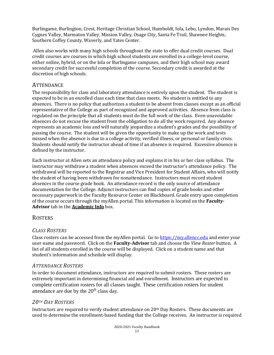Burlingame, Burlington, Crest, Heritage Christian School, Humboldt, Iola, Lebo, Lyndon, Marais Des Cygnes Valley, Marmaton Valley, Mission Valley, Osage City, Santa Fe Trail, Shawnee Heights, Southern Coffey County, Waverly, and Yates Center.

Allen also works with many high schools throughout the state to offer dual credit courses. Dual credit courses are courses in which high school students are enrolled in a college-level course, either online, hybrid, or on the Iola or Burlingame campuses, and their high school may award secondary credit for successful completion of the course. Secondary credit is awarded at the discretion of high schools.

### <span id="page-12-0"></span>**ATTENDANCE**

The responsibility for class and laboratory attendance is entirely upon the student. The student is expected to be in an enrolled class each time that class meets. No student is entitled to any absences. There is no policy that authorizes a student to be absent from classes except as an official representative of the College as part of recognized and approved activities. Absence from class is regulated on the principle that all students must do the full work of the class. Even unavoidable absences do not excuse the student from the obligation to do all the work required. Any absence represents an academic loss and will naturally jeopardize a student's grades and the possibility of passing the course. The student will be given the opportunity to make up the work and tests missed when the absence is due to a college activity, verified illness, or personal or family crisis. Students should notify the instructor ahead of time if an absence is required. Excessive absence is defined by the instructor.

Each instructor at Allen sets an attendance policy and explains it in his or her class syllabus. The instructor may withdraw a student when absences exceed the instructor's attendance policy. The withdrawal will be reported to the Registrar and Vice President for Student Affairs, who will notify the student of having been withdrawn for nonattendance. Instructors must record student absences in the course grade book. An attendance record is the only source of attendance documentation for the College. Adjunct instructors can find copies of grade books and other necessary paperwork in the Faculty Resource Center on Blackboard. Grade entry upon completion of the course occurs through the myAllen portal. This information is located on the **Faculty-Advisor** tab in the **Academic Info** box.

### <span id="page-12-1"></span>ROSTERS

### <span id="page-12-2"></span>*CLASS ROSTERS*

Class rosters can be accessed from the myAllen portal. Go t[o https://my.allencc.edu](http://my.allencc.edu/) and enter your user name and password. Click on the **Faculty-Advisor** tab and choose the *View Roster* button. A list of all students enrolled in the course will be displayed. Click on a student name and that student's information and schedule will display.

### <span id="page-12-3"></span>*ATTENDANCE ROSTERS*

In order to document attendance, instructors are required to submit rosters. These rosters are extremely important in determining financial aid and enrollment. Instructors are expected to complete certification rosters for all classes taught. These certification rosters for student attendance are due by the  $20<sup>th</sup>$  class day.

### <span id="page-12-4"></span>*20TH DAY ROSTERS*

Instructors are required to verify student attendance on 20th Day Rosters. These documents are used to determine the enrollment-based funding that the College receives. An instructor is required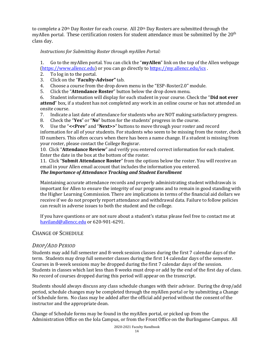to complete a 20<sup>th</sup> Day Roster for each course. All 20<sup>th</sup> Day Rosters are submitted through the myAllen portal. These certification rosters for student attendance must be submitted by the  $20<sup>th</sup>$ class day.

*Instructions for Submitting Roster through myAllen Portal:*

1. Go to the myAllen portal. You can click the "**myAllen**" link on the top of the Allen webpage [\(https://www.allencc.edu\)](http://www.allencc.edu/) or you can go directly to [https://my.allencc.edu/ics](http://my.allencc.edu/ics) .

- 2. To log in to the portal.
- 3. Click on the "**Faculty-Advisor"** tab.
- 4. Choose a course from the drop down menu in the "ESP-Roster2.0" module.
- 5. Click the "**Attendance Roster**" button below the drop down menu.
- 6. Student information will display for each student in your course. Check the "**Did not ever attend**" box, if a student has not completed any work in an online course or has not attended an
- onsite course.
- 7. Indicate a last date of attendance for students who are NOT making satisfactory progress.
- 8. Check the "**Yes**" or "**No**" button for the students' progress in the course.

9. Use the "**<<Prev**" and "**Next>>**" buttons to move through your roster and record information for all of your students. For students who seem to be missing from the roster, check ID numbers. This often occurs when there has been a name change. If a student is missing from

your roster, please contact the College Regisrar. 10. Click "**Attendance Review**" and verify you entered correct information for each student.

Enter the date in the box at the bottom of the roster.

11. Click "**Submit Attendance Roster**" from the options below the roster. You will receive an email in your Allen email account that includes the information you entered. *The Importance of Attendance Tracking and Student Enrollment*

Maintaining accurate attendance records and properly administrating student withdrawals is important for Allen to ensure the integrity of our programs and to remain in good standing with the Higher Learning Commission. There are implications in terms of the financial aid dollars we receive if we do not properly report attendance and withdrawal data. Failure to follow policies can result in adverse issues to both the student and the college.

If you have questions or are not sure about a student's status please feel free to contact me at [haviland@allencc.edu](mailto:haviland@allencc.edu) or 620-901-6291.

### <span id="page-13-0"></span>CHANGE OF SCHEDULE

### <span id="page-13-1"></span>*DROP/ADD PERIOD*

Students may add full semester and 8-week session classes during the first 7 calendar days of the term. Students may drop full semester classes during the first 14 calendar days of the semester. Courses in 8-week sessions may be dropped during the first 7 calendar days of the session. Students in classes which last less than 8 weeks must drop or add by the end of the first day of class. No record of courses dropped during this period will appear on the transcript.

Students should always discuss any class schedule changes with their advisor. During the drop/add period, schedule changes may be completed through the myAllen portal or by submitting a Change of Schedule form. No class may be added after the official add period without the consent of the instructor and the appropriate dean.

Change of Schedule forms may be found in the myAllen portal, or picked up from the Administration Office on the Iola Campus, or from the Front Office on the Burlingame Campus. All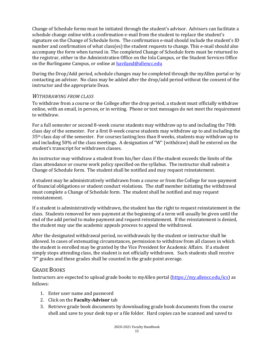Change of Schedule forms must be initiated through the student's advisor. Advisors can facilitate a schedule change online with a confirmation e-mail from the student to replace the student's signature on the Change of Schedule form. The confirmation e-mail should include the student's ID number and confirmation of what class(es) the student requests to change. This e-mail should also accompany the form when turned in. The completed Change of Schedule form must be returned to the registrar, either in the Administration Office on the Iola Campus, or the Student Services Office on the Burlingame Campus, or online at [haviland@allencc.edu](mailto:haviland@allencc.edu)

During the Drop/Add period, schedule changes may be completed through the myAllen portal or by contacting an advisor. No class may be added after the drop/add period without the consent of the instructor and the appropriate Dean.

### <span id="page-14-0"></span>*WITHDRAWING FROM CLASS*

To withdraw from a course or the College after the drop period, a student must officially withdraw online, with an email, in person, or in writing. Phone or text messages do not meet the requirement to withdraw.

For a full semester or second 8-week course students may withdraw up to and including the 70th class day of the semester. For a first 8-week course students may withdraw up to and including the 35th class day of the semester. For courses lasting less than 8 weeks, students may withdraw up to and including 50% of the class meetings. A designation of "W" (withdraw) shall be entered on the student's transcript for withdrawn classes.

An instructor may withdraw a student from his/her class if the student exceeds the limits of the class attendance or course work policy specified on the syllabus. The instructor shall submit a Change of Schedule form. The student shall be notified and may request reinstatement.

A student may be administratively withdrawn from a course or from the College for non-payment of financial obligations or student conduct violations. The staff member initiating the withdrawal must complete a Change of Schedule form. The student shall be notified and may request reinstatement.

If a student is administratively withdrawn, the student has the right to request reinstatement in the class. Students removed for non-payment at the beginning of a term will usually be given until the end of the add period to make payment and request reinstatement. If the reinstatement is denied, the student may use the academic appeals process to appeal the withdrawal.

After the designated withdrawal period, no withdrawals by the student or instructor shall be allowed. In cases of extenuating circumstances, permission to withdraw from all classes in which the student is enrolled may be granted by the Vice President for Academic Affairs. If a student simply stops attending class, the student is not officially withdrawn. Such students shall receive "F" grades and these grades shall be counted in the grade point average.

### <span id="page-14-1"></span>GRADE BOOKS

Instructors are expected to upload grade books to myAllen portal [\(https://my.allencc.edu/ics\)](https://my.allencc.edu/ics) as follows:

- 1. Enter user name and password
- 2. Click on the **Faculty-Advisor** tab
- 3. Retrieve grade book documents by downloading grade book documents from the course shell and save to your desk top or a file folder. Hard copies can be scanned and saved to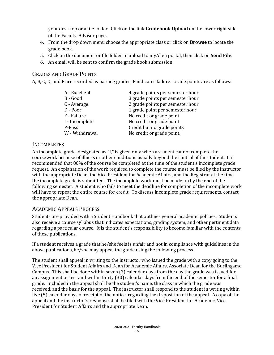your desk top or a file folder. Click on the link **Gradebook Upload** on the lower right side of the Faculty-Advisor page.

- 4. From the drop down menu choose the appropriate class or click on **Browse** to locate the grade book.
- 5. Click on the document or file folder to upload to myAllen portal, then click on **Send File**.
- 6. An email will be sent to confirm the grade book submission.

### <span id="page-15-0"></span>GRADES AND GRADE POINTS

A, B, C, D, and P are recorded as passing grades; F indicates failure. Grade points are as follows:

| A - Excellent  | 4 grade points per semester hour |
|----------------|----------------------------------|
| B - Good       | 3 grade points per semester hour |
| C - Average    | 2 grade points per semester hour |
| D - Poor       | 1 grade point per semester hour  |
| F - Failure    | No credit or grade point         |
| I - Incomplete | No credit or grade point         |
| P-Pass         | Credit but no grade points       |
| W - Withdrawal | No credit or grade point.        |
|                |                                  |

### <span id="page-15-1"></span>INCOMPLETES

An incomplete grade, designated as "I," is given only when a student cannot complete the coursework because of illness or other conditions usually beyond the control of the student. It is recommended that 80% of the course be completed at the time of the student's incomplete grade request. An explanation of the work required to complete the course must be filed by the instructor with the appropriate Dean, the Vice President for Academic Affairs, and the Registrar at the time the incomplete grade is submitted. The incomplete work must be made up by the end of the following semester. A student who fails to meet the deadline for completion of the incomplete work will have to repeat the entire course for credit. To discuss incomplete grade requirements, contact the appropriate Dean.

### <span id="page-15-2"></span>ACADEMIC APPEALS PROCESS

Students are provided with a Student Handbook that outlines general academic policies. Students also receive a course syllabus that indicates expectations, grading system, and other pertinent data regarding a particular course. It is the student's responsibility to become familiar with the contents of these publications.

If a student receives a grade that he/she feels is unfair and not in compliance with guidelines in the above publications, he/she may appeal the grade using the following process.

The student shall appeal in writing to the instructor who issued the grade with a copy going to the Vice President for Student Affairs and Dean for Academic Affairs, Associate Dean for the Burlingame Campus. This shall be done within seven (7) calendar days from the day the grade was issued for an assignment or test and within thirty (30) calendar days from the end of the semester for a final grade. Included in the appeal shall be the student's name, the class in which the grade was received, and the basis for the appeal. The instructor shall respond to the student in writing within five (5) calendar days of receipt of the notice, regarding the disposition of the appeal. A copy of the appeal and the instructor's response shall be filed with the Vice President for Academic, Vice President for Student Affairs and the appropriate Dean.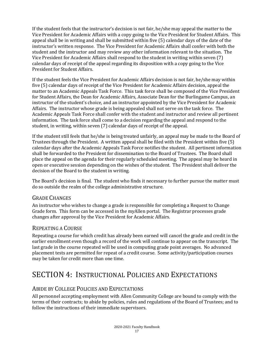If the student feels that the instructor's decision is not fair, he/she may appeal the matter to the Vice President for Academic Affairs with a copy going to the Vice President for Student Affairs. This appeal shall be in writing and shall be submitted within five (5) calendar days of the date of the instructor's written response. The Vice President for Academic Affairs shall confer with both the student and the instructor and may review any other information relevant to the situation. The Vice President for Academic Affairs shall respond to the student in writing within seven (7) calendar days of receipt of the appeal regarding its disposition with a copy going to the Vice President for Student Affairs.

If the student feels the Vice President for Academic Affairs decision is not fair, he/she may within five (5) calendar days of receipt of the Vice President for Academic Affairs decision, appeal the matter to an Academic Appeals Task Force. This task force shall be composed of the Vice President for Student Affairs, the Dean for Academic Affairs, Associate Dean for the Burlingame Campus, an instructor of the student's choice, and an instructor appointed by the Vice President for Academic Affairs. The instructor whose grade is being appealed shall not serve on the task force. The Academic Appeals Task Force shall confer with the student and instructor and review all pertinent information. The task force shall come to a decision regarding the appeal and respond to the student, in writing, within seven (7) calendar days of receipt of the appeal.

If the student still feels that he/she is being treated unfairly, an appeal may be made to the Board of Trustees through the President. A written appeal shall be filed with the President within five (5) calendar days after the Academic Appeals Task Force notifies the student. All pertinent information shall be forwarded to the President for dissemination to the Board of Trustees. The Board shall place the appeal on the agenda for their regularly scheduled meeting. The appeal may be heard in open or executive session depending on the wishes of the student. The President shall deliver the decision of the Board to the student in writing.

The Board's decision is final. The student who finds it necessary to further pursue the matter must do so outside the realm of the college administrative structure.

### <span id="page-16-0"></span>GRADE CHANGES

An instructor who wishes to change a grade is responsible for completing a Request to Change Grade form. This form can be accessed in the myAllen portal. The Registrar processes grade changes after approval by the Vice President for Academic Affairs.

### <span id="page-16-1"></span>REPEATING A COURSE

Repeating a course for which credit has already been earned will cancel the grade and credit in the earlier enrollment even though a record of the work will continue to appear on the transcript. The last grade in the course repeated will be used in computing grade point averages. No advanced placement tests are permitted for repeat of a credit course. Some activity/participation courses may be taken for credit more than one time.

### <span id="page-16-2"></span>SECTION 4: INSTRUCTIONAL POLICIES AND EXPECTATIONS

### <span id="page-16-3"></span>ABIDE BY COLLEGE POLICIES AND EXPECTATIONS

All personnel accepting employment with Allen Community College are bound to comply with the terms of their contracts; to abide by policies, rules and regulations of the Board of Trustees; and to follow the instructions of their immediate supervisors.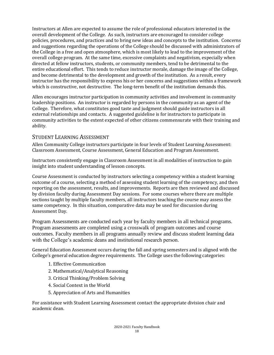Instructors at Allen are expected to assume the role of professional educators interested in the overall development of the College. As such, instructors are encouraged to consider college policies, procedures, and practices and to bring new ideas and concepts to the institution. Concerns and suggestions regarding the operations of the College should be discussed with administrators of the College in a free and open atmosphere, which is most likely to lead to the improvement of the overall college program. At the same time, excessive complaints and negativism, especially when directed at fellow instructors, students, or community members, tend to be detrimental to the entire educational effort. This tends to reduce instructor morale, damage the image of the College, and become detrimental to the development and growth of the institution. As a result, every instructor has the responsibility to express his or her concerns and suggestions within a framework which is constructive, not destructive. The long-term benefit of the institution demands this.

Allen encourages instructor participation in community activities and involvement in community leadership positions. An instructor is regarded by persons in the community as an agent of the College. Therefore, what constitutes good taste and judgment should guide instructors in all external relationships and contacts. A suggested guideline is for instructors to participate in community activities to the extent expected of other citizens commensurate with their training and ability.

### <span id="page-17-0"></span>STUDENT LEARNING ASSESSMENT

Allen Community College instructors participate in four levels of Student Learning Assessment: Classroom Assessment, Course Assessment, General Education and Program Assessment.

Instructors consistently engage in Classroom Assessment in all modalities of instruction to gain insight into student understanding of lesson concepts.

Course Assessment is conducted by instructors selecting a competency within a student learning outcome of a course, selecting a method of assessing student learning of the competency, and then reporting on the assessment, results, and improvements. Reports are then reviewed and discussed by division faculty during Assessment Day sessions. For some courses where there are multiple sections taught by multiple faculty members, all instructors teaching the course may assess the same competency. In this situation, comparative data may be used for discussion during Assessment Day.

Program Assessments are conducted each year by faculty members in all technical programs. Program assessments are completed using a crosswalk of program outcomes and course outcomes. Faculty members in all programs annually review and discuss student learning data with the College's academic deans and institutional research person.

General Education Assessment occurs during the fall and spring semesters and is aligned with the College's general education degree requirements. The College uses the following categories:

- 1. Effective Communication
- 2. Mathematical/Analytical Reasoning
- 3. Critical Thinking/Problem Solving
- 4. Social Context in the World
- 5. Appreciation of Arts and Humanities

For assistance with Student Learning Assessment contact the appropriate division chair and academic dean.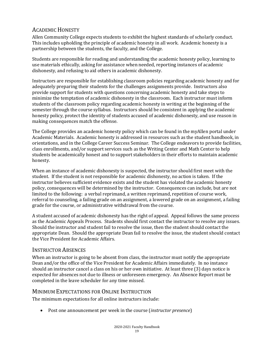### <span id="page-18-0"></span>ACADEMIC HONESTY

Allen Community College expects students to exhibit the highest standards of scholarly conduct. This includes upholding the principle of academic honesty in all work. Academic honesty is a partnership between the students, the faculty, and the College.

Students are responsible for reading and understanding the academic honesty policy, learning to use materials ethically, asking for assistance when needed, reporting instances of academic dishonesty, and refusing to aid others in academic dishonesty.

Instructors are responsible for establishing classroom policies regarding academic honesty and for adequately preparing their students for the challenges assignments provide. Instructors also provide support for students with questions concerning academic honesty and take steps to minimize the temptation of academic dishonesty in the classroom. Each instructor must inform students of the classroom policy regarding academic honesty in writing at the beginning of the semester through the course syllabus. Instructors should be consistent in applying the academic honesty policy, protect the identity of students accused of academic dishonesty, and use reason in making consequences match the offense.

The College provides an academic honesty policy which can be found in the myAllen portal under Academic Materials. Academic honesty is addressed in resources such as the student handbook, in orientations, and in the College Career Success Seminar. The College endeavors to provide facilities, class enrollments, and/or support services such as the Writing Center and Math Center to help students be academically honest and to support stakeholders in their efforts to maintain academic honesty.

When an instance of academic dishonesty is suspected, the instructor should first meet with the student. If the student is not responsible for academic dishonesty, no action is taken. If the instructor believes sufficient evidence exists and the student has violated the academic honesty policy, consequences will be determined by the instructor. Consequences can include, but are not limited to the following: a verbal reprimand, a written reprimand, repetition of course work, referral to counseling, a failing grade on an assignment, a lowered grade on an assignment, a failing grade for the course, or administrative withdrawal from the course.

A student accused of academic dishonesty has the right of appeal. Appeal follows the same process as the Academic Appeals Process. Students should first contact the instructor to resolve any issues. Should the instructor and student fail to resolve the issue, then the student should contact the appropriate Dean. Should the appropriate Dean fail to resolve the issue, the student should contact the Vice President for Academic Affairs.

### <span id="page-18-1"></span>INSTRUCTOR ABSENCES

When an instructor is going to be absent from class, the instructor must notify the appropriate Dean and/or the office of the Vice President for Academic Affairs immediately. In no instance should an instructor cancel a class on his or her own initiative. At least three (3) days notice is expected for absences not due to illness or unforeseen emergency. An Absence Report must be completed in the leave scheduler for any time missed.

### <span id="page-18-2"></span>MINIMUM EXPECTATIONS FOR ONLINE INSTRUCTION

The minimum expectations for all online instructors include:

Post one announcement per week in the course (*instructor presence*)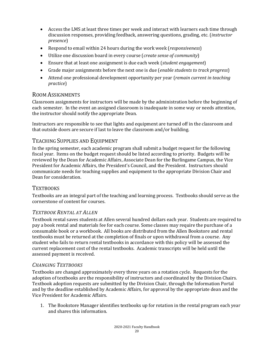- Access the LMS at least three times per week and interact with learners each time through discussion responses, providing feedback, answering questions, grading, etc. (*instructor presence*)
- Respond to email within 24 hours during the work week (*responsiveness*)
- Utilize one discussion board in every course (*create sense of community*)
- Ensure that at least one assignment is due each week (*student engagement*)
- Grade major assignments before the next one is due (*enable students to track progress*)
- Attend one professional development opportunity per year (*remain current in teaching practice*)

### <span id="page-19-0"></span>ROOM ASSIGNMENTS

Classroom assignments for instructors will be made by the administration before the beginning of each semester. In the event an assigned classroom is inadequate in some way or needs attention, the instructor should notify the appropriate Dean.

Instructors are responsible to see that lights and equipment are turned off in the classroom and that outside doors are secure if last to leave the classroom and/or building.

### <span id="page-19-1"></span>TEACHING SUPPLIES AND EQUIPMENT

In the spring semester, each academic program shall submit a budget request for the following fiscal year. Items on the budget request should be listed according to priority. Budgets will be reviewed by the Dean for Academic Affairs, Associate Dean for the Burlingame Campus, the Vice President for Academic Affairs, the President's Council, and the President. Instructors should communicate needs for teaching supplies and equipment to the appropriate Division Chair and Dean for consideration.

### <span id="page-19-2"></span>**TEXTBOOKS**

Textbooks are an integral part of the teaching and learning process. Textbooks should serve as the cornerstone of content for courses.

### <span id="page-19-3"></span>*TEXTBOOK RENTAL AT ALLEN*

Textbook rental saves students at Allen several hundred dollars each year. Students are required to pay a book rental and materials fee for each course. Some classes may require the purchase of a consumable book or a workbook. All books are distributed from the Allen Bookstore and rental textbooks must be returned at the completion of finals or upon withdrawal from a course. Any student who fails to return rental textbooks in accordance with this policy will be assessed the current replacement cost of the rental textbooks. Academic transcripts will be held until the assessed payment is received.

### <span id="page-19-4"></span>*CHANGING TEXTBOOKS*

Textbooks are changed approximately every three years on a rotation cycle. Requests for the adoption of textbooks are the responsibility of instructors and coordinated by the Division Chairs. Textbook adoption requests are submitted by the Division Chair, through the Information Portal and by the deadline established by Academic Affairs, for approval by the appropriate dean and the Vice President for Academic Affairs.

1. The Bookstore Manager identifies textbooks up for rotation in the rental program each year and shares this information.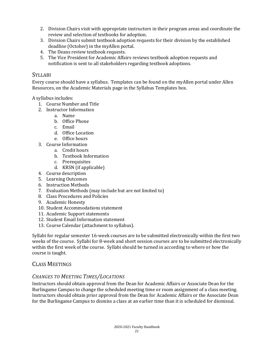- 2. Division Chairs visit with appropriate instructors in their program areas and coordinate the review and selection of textbooks for adoption.
- 3. Division Chairs submit textbook adoption requests for their division by the established deadline (October) in the myAllen portal.
- 4. The Deans review textbook requests.
- 5. The Vice President for Academic Affairs reviews textbook adoption requests and notification is sent to all stakeholders regarding textbook adoptions.

### <span id="page-20-0"></span>**SYLLABI**

Every course should have a syllabus. Templates can be found on the myAllen portal under Allen Resources, on the Academic Materials page in the Syllabus Templates box.

A syllabus includes:

- 1. Course Number and Title
- 2. Instructor Information
	- a. Name
	- b. Office Phone
	- c. Email
	- d. Office Location
	- e. Office hours
- 3. Course Information
	- a. Credit hours
	- b. Textbook Information
	- c. Prerequisites
	- d. KRSN (if applicable)
- 4. Course description
- 5. Learning Outcomes
- 6. Instruction Methods
- 7. Evaluation Methods (may include but are not limited to)
- 8. Class Procedures and Policies
- 9. Academic Honesty
- 10. Student Accommodations statement
- 11. Academic Support statements
- 12. Student Email Information statement
- 13. Course Calendar (attachment to syllabus).

Syllabi for regular semester 16-week courses are to be submitted electronically within the first two weeks of the course. Syllabi for 8-week and short session courses are to be submitted electronically within the first week of the course. Syllabi should be turned in according to where or how the course is taught.

### <span id="page-20-1"></span>CLASS MEETINGS

### <span id="page-20-2"></span>*CHANGES TO MEETING TIMES/LOCATIONS*

Instructors should obtain approval from the Dean for Academic Affairs or Associate Dean for the Burlingame Campus to change the scheduled meeting time or room assignment of a class meeting. Instructors should obtain prior approval from the Dean for Academic Affairs or the Associate Dean for the Burlingame Campus to dismiss a class at an earlier time than it is scheduled for dismissal.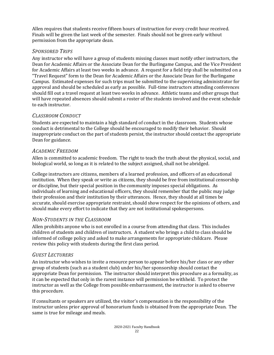Allen requires that students receive fifteen hours of instruction for every credit hour received. Finals will be given the last week of the semester. Finals should not be given early without permission from the appropriate dean.

### <span id="page-21-0"></span>*SPONSORED TRIPS*

Any instructor who will have a group of students missing classes must notify other instructors, the Dean for Academic Affairs or the Associate Dean for the Burlingame Campus, and the Vice President for Academic Affairs at least two weeks in advance. A request for a field trip shall be submitted on a "Travel Request" form to the Dean for Academic Affairs or the Associate Dean for the Burlingame Campus. Estimated expenses for such trips must be submitted to the supervising administrator for approval and should be scheduled as early as possible. Full-time instructors attending conferences should fill out a travel request at least two weeks in advance. Athletic teams and other groups that will have repeated absences should submit a roster of the students involved and the event schedule to each instructor.

### <span id="page-21-1"></span>*CLASSROOM CONDUCT*

Students are expected to maintain a high standard of conduct in the classroom. Students whose conduct is detrimental to the College should be encouraged to modify their behavior. Should inappropriate conduct on the part of students persist, the instructor should contact the appropriate Dean for guidance.

### <span id="page-21-2"></span>*ACADEMIC FREEDOM*

Allen is committed to academic freedom. The right to teach the truth about the physical, social, and biological world, so long as it is related to the subject assigned, shall not be abridged.

College instructors are citizens, members of a learned profession, and officers of an educational institution. When they speak or write as citizens, they should be free from institutional censorship or discipline, but their special position in the community imposes special obligations. As individuals of learning and educational officers, they should remember that the public may judge their profession and their institution by their utterances. Hence, they should at all times be accurate, should exercise appropriate restraint, should show respect for the opinions of others, and should make every effort to indicate that they are not institutional spokespersons.

### <span id="page-21-3"></span>*NON-STUDENTS IN THE CLASSROOM*

Allen prohibits anyone who is not enrolled in a course from attending that class. This includes children of students and children of instructors. A student who brings a child to class should be informed of college policy and asked to make arrangements for appropriate childcare. Please review this policy with students during the first class period.

### <span id="page-21-4"></span>*GUEST LECTURERS*

An instructor who wishes to invite a resource person to appear before his/her class or any other group of students (such as a student club) under his/her sponsorship should contact the appropriate Dean for permission. The instructor should interpret this procedure as a formality, as it can be expected that only in the rarest instance will permission be withheld. To protect the instructor as well as the College from possible embarrassment, the instructor is asked to observe this procedure.

If consultants or speakers are utilized, the visitor's compensation is the responsibility of the instructor unless prior approval of honorarium funds is obtained from the appropriate Dean. The same is true for mileage and meals.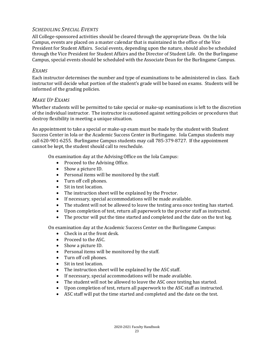### <span id="page-22-0"></span>*SCHEDULING SPECIAL EVENTS*

All College-sponsored activities should be cleared through the appropriate Dean. On the Iola Campus, events are placed on a master calendar that is maintained in the office of the Vice President for Student Affairs. Social events, depending upon the nature, should also be scheduled through the Vice President for Student Affairs and the Director of Student Life. On the Burlingame Campus, special events should be scheduled with the Associate Dean for the Burlingame Campus.

#### <span id="page-22-1"></span>*EXAMS*

Each instructor determines the number and type of examinations to be administered in class. Each instructor will decide what portion of the student's grade will be based on exams. Students will be informed of the grading policies.

#### <span id="page-22-2"></span>*MAKE UP EXAMS*

Whether students will be permitted to take special or make-up examinations is left to the discretion of the individual instructor. The instructor is cautioned against setting policies or procedures that destroy flexibility in meeting a unique situation.

An appointment to take a special or make-up exam must be made by the student with Student Success Center in Iola or the Academic Success Center in Burlingame. Iola Campus students may call 620-901-6255. Burlingame Campus students may call 785-379-8727. If the appointment cannot be kept, the student should call to reschedule.

On examination day at the Advising Office on the Iola Campus:

- Proceed to the Advising Office.
- Show a picture ID.
- Personal items will be monitored by the staff.
- Turn off cell phones.
- Sit in test location.
- The instruction sheet will be explained by the Proctor.
- If necessary, special accommodations will be made available.
- The student will not be allowed to leave the testing area once testing has started.
- Upon completion of test, return all paperwork to the proctor staff as instructed.
- The proctor will put the time started and completed and the date on the test log.

On examination day at the Academic Success Center on the Burlingame Campus:

- Check in at the front desk.
- Proceed to the ASC.
- Show a picture ID.
- Personal items will be monitored by the staff.
- Turn off cell phones.
- Sit in test location.
- The instruction sheet will be explained by the ASC staff.
- If necessary, special accommodations will be made available.
- The student will not be allowed to leave the ASC once testing has started.
- Upon completion of test, return all paperwork to the ASC staff as instructed.
- ASC staff will put the time started and completed and the date on the test.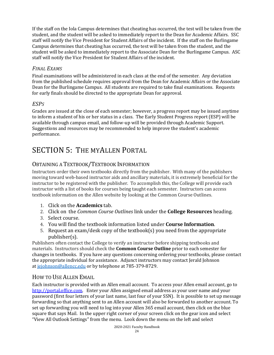If the staff on the Iola Campus determines that cheating has occurred, the test will be taken from the student, and the student will be asked to immediately report to the Dean for Academic Affairs. SSC staff will notify the Vice President for Student Affairs of the incident. If the staff on the Burlingame Campus determines that cheating has occurred, the test will be taken from the student, and the student will be asked to immediately report to the Associate Dean for the Burlingame Campus. ASC staff will notify the Vice President for Student Affairs of the incident.

### <span id="page-23-0"></span>*FINAL EXAMS*

Final examinations will be administered in each class at the end of the semester. Any deviation from the published schedule requires approval from the Dean for Academic Affairs or the Associate Dean for the Burlingame Campus. All students are required to take final examinations. Requests for early finals should be directed to the appropriate Dean for approval.

### <span id="page-23-1"></span>*ESPS*

Grades are issued at the close of each semester; however, a progress report may be issued anytime to inform a student of his or her status in a class. The Early Student Progress report (ESP) will be available through campus email, and follow-up will be provided through Academic Support. Suggestions and resources may be recommended to help improve the student's academic performance.

### <span id="page-23-2"></span>SECTION 5: THE MYALLEN PORTAL

### <span id="page-23-3"></span>OBTAINING A TEXTBOOK/TEXTBOOK INFORMATION

Instructors order their own textbooks directly from the publisher. With many of the publishers moving toward web-based instructor aids and ancillary materials, it is extremely beneficial for the instructor to be registered with the publisher. To accomplish this, the College will provide each instructor with a list of books for courses being taught each semester. Instructors can access textbook information on the Allen website by looking at the Common Course Outlines.

- 1. Click on the **Academics** tab.
- 2. Click on the *Common Course Outlines* link under the **College Resources** heading.
- 3. Select course.
- 4. You will find the textbook information listed under **Course Information**.
- 5. Request an exam/desk copy of the textbook(s) you need from the appropriate publisher(s).

Publishers often contact the College to verify an instructor before shipping textbooks and materials. Instructors should check the **Common Course Outline** prior to each semester for changes in textbooks. If you have any questions concerning ordering your textbooks, please contact the appropriate individual for assistance. Adjunct instructors may contact Jerald Johnson at [jejohnson@allencc.edu](mailto:jejohnson@allencc.edu) or by telephone at 785-379-8729.

### <span id="page-23-4"></span>HOW TO USE ALLEN EMAIL

Each instructor is provided with an Allen email account. To access your Allen email account, go to [http://portal.office.com.](http://portal.office.com/) Enter your Allen assigned email address as your user name and your password (first four letters of your last name, last four of your SSN). It is possible to set up message forwarding so that anything sent to an Allen account will also be forwarded to another account. To set up forwarding you will need to log into your Allen 365 email account, then click on the blue square that says Mail. In the upper right corner of your screen click on the gear icon and select "View All Outlook Settings" from the menu. Look down the menu on the left and select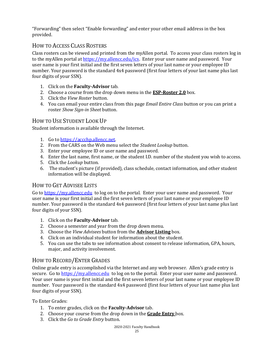"Forwarding" then select "Enable forwarding" and enter your other email address in the box provided.

### <span id="page-24-0"></span>HOW TO ACCESS CLASS ROSTERS

Class rosters can be viewed and printed from the myAllen portal. To access your class rosters log in to the myAllen portal a[t https://my.allencc.edu/ics.](https://my.allencc.edu/ics) Enter your user name and password. Your user name is your first initial and the first seven letters of your last name or your employee ID number. Your password is the standard 4x4 password (first four letters of your last name plus last four digits of your SSN).

- 1. Click on the **Faculty-Advisor** tab.
- 2. Choose a course from the drop down menu in the **ESP-Roster 2.0** box.
- 3. Click the *View Roster* button.
- 4. You can email your entire class from this page *Email Entire Class* button or you can print a roster *Show Sign-in Sheet* button.

### <span id="page-24-1"></span>HOW TO USE STUDENT LOOK UP

Student information is available through the Internet.

- 1. Go to [https://accchp.allencc.net.](https://accchp.allencc.net/)
- 2. From the CARS on the Web menu select the *Student Lookup* button.
- 3. Enter your employee ID or user name and password.
- 4. Enter the last name, first name, or the student I.D. number of the student you wish to access.
- 5. Click the *Lookup* button.
- 6. The student's picture (if provided), class schedule, contact information, and other student information will be displayed.

### <span id="page-24-2"></span>HOW TO GET ADVISEE LISTS

Go to [https://my.allencc.edu](https://my.allencc.edu/) to log on to the portal. Enter your user name and password. Your user name is your first initial and the first seven letters of your last name or your employee ID number. Your password is the standard 4x4 password (first four letters of your last name plus last four digits of your SSN).

- 1. Click on the **Faculty-Advisor** tab.
- 2. Choose a semester and year from the drop down menu.
- 3. Choose the *View Advisees* button from the **Advisor Listing** box.
- 4. Click on an individual student for information about the student.
- 5. You can use the tabs to see information about consent to release information, GPA, hours, major, and activity involvement.

### <span id="page-24-3"></span>HOW TO RECORD/ENTER GRADES

Online grade entry is accomplished via the Internet and any web browser. Allen's grade entry is secure. Go to [https://my.allencc.edu](https://my.allencc.edu/) to log on to the portal. Enter your user name and password. Your user name is your first initial and the first seven letters of your last name or your employee ID number. Your password is the standard 4x4 password (first four letters of your last name plus last four digits of your SSN).

To Enter Grades:

- 1. To enter grades, click on the **Faculty-Advisor** tab.
- 2. Choose your course from the drop down in the **Grade Entry** box.
- 3. Click the *Go to Grade Entry* button.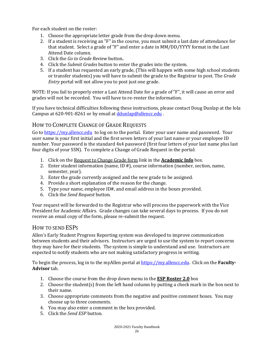For each student on the roster:

- 1. Choose the appropriate letter grade from the drop down menu.
- 2. If a student is receiving an "F" in the course, you must submit a last date of attendance for that student. Select a grade of "F" and enter a date in MM/DD/YYYY format in the Last Attend Date column.
- 3. Click the *Go to Grade Review* button**.**
- 4. Click the *Submit Grades* button to enter the grades into the system.
- 5. If a student has requested an early grade, (This will happen with some high school students or transfer students) you will have to submit the grade to the Registrar to post. The *Grade Entry* portal will not allow you to post just one grade.

NOTE: If you fail to properly enter a Last Attend Date for a grade of "F", it will cause an error and grades will not be recorded. You will have to re-renter the information.

If you have technical difficulties following these instructions, please contact Doug Dunlap at the Iola Campus at 620-901-8261 or by email at [ddunlap@allencc.edu](mailto:ddunlap@allencc.edu).

### <span id="page-25-0"></span>HOW TO COMPLETE CHANGE OF GRADE REQUESTS

Go to [https://my.allencc.edu](https://my.allencc.edu/) to log on to the portal. Enter your user name and password. Your user name is your first initial and the first seven letters of your last name or your employee ID number. Your password is the standard 4x4 password (first four letters of your last name plus last four digits of your SSN). To complete a Change of Grade Request in the portal:

- 1. Click on the Request to Change Grade form link in the **Academic Info** box.
- 2. Enter student information (name, ID #), course information (number, section, name, semester, year).
- 3. Enter the grade currently assigned and the new grade to be assigned.
- 4. Provide a short explanation of the reason for the change.
- 5. Type your name, employee ID#, and email address in the boxes provided.
- 6. Click the *Send Request* button.

Your request will be forwarded to the Registrar who will process the paperwork with the Vice President for Academic Affairs. Grade changes can take several days to process. If you do not receive an email copy of the form, please re-submit the request.

### <span id="page-25-1"></span>HOW TO SEND ESPS

Allen's Early Student Progress Reporting system was developed to improve communication between students and their advisors. Instructors are urged to use the system to report concerns they may have for their students. The system is simple to understand and use. Instructors are expected to notify students who are not making satisfactory progress in writing.

To begin the process, log in to the myAllen portal a[t https://my.allencc.edu.](http://my.allencc.edu/) Click on the **Faculty-Advisor** tab.

- 1. Choose the course from the drop down menu in the **ESP Roster 2.0** box
- 2. Choose the student(s) from the left hand column by putting a check mark in the box next to their name.
- 3. Choose appropriate comments from the negative and positive comment boxes. You may choose up to three comments.
- 4. You may also enter a comment in the box provided.
- 5. Click the *Send ESP* button.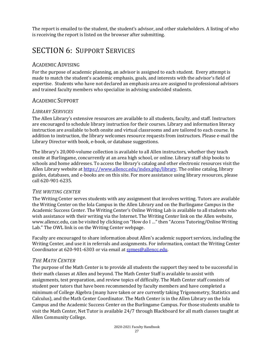The report is emailed to the student, the student's advisor, and other stakeholders. A listing of who is receiving the report is listed on the browser after submitting.

### <span id="page-26-0"></span>SECTION 6: SUPPORT SERVICES

### <span id="page-26-1"></span>ACADEMIC ADVISING

For the purpose of academic planning, an advisor is assigned to each student. Every attempt is made to match the student's academic emphasis, goals, and interests with the advisor's field of expertise. Students who have not declared an emphasis area are assigned to professional advisors and trained faculty members who specialize in advising undecided students.

### <span id="page-26-2"></span>ACADEMIC SUPPORT

### <span id="page-26-3"></span>*LIBRARY SERVICES*

The Allen Library's extensive resources are available to all students, faculty, and staff. Instructors are encouraged to schedule library instruction for their courses. Library and information literacy instruction are available to both onsite and virtual classrooms and are tailored to each course. In addition to instruction, the library welcomes resource requests from instructors. Please e-mail the Library Director with book, e-book, or database suggestions.

The library's 20,000-volume collection is available to all Allen instructors, whether they teach onsite at Burlingame, concurrently at an area high school, or online. Library staff ship books to schools and home addresses. To access the library's catalog and other electronic resources visit the Allen Library website at [https://www.allencc.edu/index.php/library.](http://www.allencc.edu/index.php/library) The online catalog, library guides, databases, and e-books are on this site. For more assistance using library resources, please call 620-901-6235.

### <span id="page-26-4"></span>*THE WRITING CENTER*

The Writing Center serves students with any assignment that involves writing. Tutors are available the Writing Center on the Iola Campus in the Allen Library and on the Burlingame Campus in the Academic Success Center. The Writing Center's Online Writing Lab is available to all students who wish assistance with their writing via the Internet. The Writing Center link on the Allen website, www.allencc.edu, can be visited by clicking on "How do I …" then "Access Tutoring/Online Writing Lab." The OWL link is on the Writing Center webpage.

Faculty are encouraged to share information about Allen's academic support services, including the Writing Center, and use it in referrals and assignments. For information, contact the Writing Center Coordinator at 620-901-6303 or via email at [symes@allencc.edu.](mailto:symes@allencc.edu)

### <span id="page-26-5"></span>*THE MATH CENTER*

The purpose of the Math Center is to provide all students the support they need to be successful in their math classes at Allen and beyond. The Math Center Staff is available to assist with assignments, test preparation, and review topics of difficulty. The Math Center staff consists of student peer tutors that have been recommended by faculty members and have completed a minimum of College Algebra (many have taken or are currently taking Trigonometry, Statistics and Calculus), and the Math Center Coordinator. The Math Center is in the Allen Library on the Iola Campus and the Academic Success Center on the Burlingame Campus. For those students unable to visit the Math Center, Net Tutor is available 24/7 through Blackboard for all math classes taught at Allen Community College.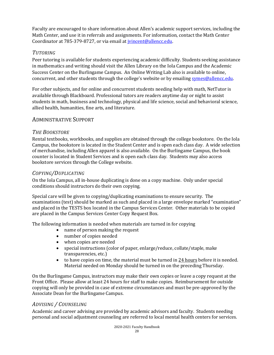Faculty are encouraged to share information about Allen's academic support services, including the Math Center, and use it in referrals and assignments. For information, contact the Math Center Coordinator at 785-379-8727, or via email at *jvincent@allencc.edu*.

### <span id="page-27-0"></span>*TUTORING*

Peer tutoring is available for students experiencing academic difficulty. Students seeking assistance in mathematics and writing should visit the Allen Library on the Iola Campus and the Academic Success Center on the Burlingame Campus. An Online Writing Lab also is available to online, concurrent, and other students through the college's website or by emailing [symes@allencc.edu.](mailto:symes@allencc.edu)

For other subjects, and for online and concurrent students needing help with math, NetTutor is available through Blackboard. Professional tutors are readers anytime day or night to assist students in math, business and technology, physical and life science, social and behavioral science, allied health, humanities, fine arts, and literature.

### <span id="page-27-1"></span>ADMINISTRATIVE SUPPORT

### <span id="page-27-2"></span>*THE BOOKSTORE*

Rental textbooks, workbooks, and supplies are obtained through the college bookstore. On the Iola Campus, the bookstore is located in the Student Center and is open each class day. A wide selection of merchandise, including Allen apparel is also available. On the Burlingame Campus, the book counter is located in Student Services and is open each class day. Students may also access bookstore services through the College website.

### <span id="page-27-3"></span>*COPYING/DUPLICATING*

On the Iola Campus, all in-house duplicating is done on a copy machine. Only under special conditions should instructors do their own copying.

Special care will be given to copying/duplicating examinations to ensure security. The examinations (test) should be marked as such and placed in a large envelope marked "examination" and placed in the TESTS box located in the Campus Services Center. Other materials to be copied are placed in the Campus Services Center Copy Request Box.

The following information is needed when materials are turned in for copying

- name of person making the request
- number of copies needed
- when copies are needed
- special instructions (color of paper, enlarge/reduce, collate/staple, make transparencies, etc.)
- to have copies on time, the material must be turned in 24 hours before it is needed. Material needed on Monday should be turned in on the preceding Thursday.

On the Burlingame Campus, instructors may make their own copies or leave a copy request at the Front Office. Please allow at least 24 hours for staff to make copies. Reimbursement for outside copying will only be provided in case of extreme circumstances and must be pre-approved by the Associate Dean for the Burlingame Campus.

### <span id="page-27-4"></span>*ADVISING / COUNSELING*

Academic and career advising are provided by academic advisors and faculty. Students needing personal and social adjustment counseling are referred to local mental health centers for services.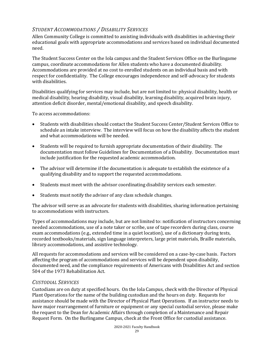### <span id="page-28-0"></span>*STUDENT ACCOMMODATIONS / DISABILITY SERVICES*

Allen Community College is committed to assisting individuals with disabilities in achieving their educational goals with appropriate accommodations and services based on individual documented need.

The Student Success Center on the Iola campus and the Student Services Office on the Burlingame campus, coordinate accommodations for Allen students who have a documented disability. Accommodations are provided at no cost to enrolled students on an individual basis and with respect for confidentiality. The College encourages independence and self-advocacy for students with disabilities.

Disabilities qualifying for services may include, but are not limited to: physical disability, health or medical disability, hearing disability, visual disability, learning disability, acquired brain injury, attention deficit disorder, mental/emotional disability, and speech disability.

To access accommodations:

- Students with disabilities should contact the Student Success Center/Student Services Office to schedule an intake interview. The interview will focus on how the disability affects the student and what accommodations will be needed.
- Students will be required to furnish appropriate documentation of their disability. The documentation must follow Guidelines for Documentation of a Disability. Documentation must include justification for the requested academic accommodation.
- The advisor will determine if the documentation is adequate to establish the existence of a qualifying disability and to support the requested accommodations.
- Students must meet with the advisor coordinating disability services each semester.
- Students must notify the advisor of any class schedule changes.

The advisor will serve as an advocate for students with disabilities, sharing information pertaining to accommodations with instructors.

Types of accommodations may include, but are not limited to: notification of instructors concerning needed accommodations, use of a note taker or scribe, use of tape recorders during class, course exam accommodations (e.g., extended time in a quiet location), use of a dictionary during tests, recorded textbooks/materials, sign language interpreters, large print materials, Braille materials, library accommodations, and assistive technology.

All requests for accommodations and services will be considered on a case-by-case basis. Factors affecting the program of accommodations and services will be dependent upon disability, documented need, and the compliance requirements of Americans with Disabilities Act and section 504 of the 1973 Rehabilitation Act.

#### <span id="page-28-1"></span>*CUSTODIAL SERVICES*

Custodians are on duty at specified hours. On the Iola Campus, check with the Director of Physical Plant Operations for the name of the building custodian and the hours on duty. Requests for assistance should be made with the Director of Physical Plant Operations. If an instructor needs to have major rearrangement of furniture or equipment or any special custodial service, please make the request to the Dean for Academic Affairs through completion of a Maintenance and Repair Request Form. On the Burlingame Campus, check at the Front Office for custodial assistance.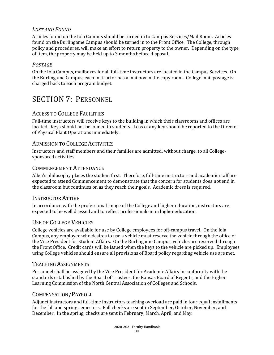### <span id="page-29-0"></span>*LOST AND FOUND*

Articles found on the Iola Campus should be turned in to Campus Services/Mail Room. Articles found on the Burlingame Campus should be turned in to the Front Office. The College, through policy and procedures, will make an effort to return property to the owner. Depending on the type of item, the property may be held up to 3 months before disposal.

### <span id="page-29-1"></span>*POSTAGE*

On the Iola Campus, mailboxes for all full-time instructors are located in the Campus Services. On the Burlingame Campus, each instructor has a mailbox in the copy room. College mail postage is charged back to each program budget.

### <span id="page-29-2"></span>SECTION 7: PERSONNEL

### <span id="page-29-3"></span>ACCESS TO COLLEGE FACILITIES

Full-time instructors will receive keys to the building in which their classrooms and offices are located. Keys should not be loaned to students. Loss of any key should be reported to the Director of Physical Plant Operations immediately.

### <span id="page-29-4"></span>ADMISSION TO COLLEGE ACTIVITIES

Instructors and staff members and their families are admitted, without charge, to all Collegesponsored activities.

### <span id="page-29-5"></span>COMMENCEMENT ATTENDANCE

Allen's philosophy places the student first. Therefore, full-time instructors and academic staff are expected to attend Commencement to demonstrate that the concern for students does not end in the classroom but continues on as they reach their goals. Academic dress is required.

#### <span id="page-29-6"></span>INSTRUCTOR ATTIRE

In accordance with the professional image of the College and higher education, instructors are expected to be well dressed and to reflect professionalism in higher education.

### <span id="page-29-7"></span>USE OF COLLEGE VEHICLES

College vehicles are available for use by College employees for off-campus travel. On the Iola Campus, any employee who desires to use a vehicle must reserve the vehicle through the office of the Vice President for Student Affairs. On the Burlingame Campus, vehicles are reserved through the Front Office. Credit cards will be issued when the keys to the vehicle are picked up. Employees using College vehicles should ensure all provisions of Board policy regarding vehicle use are met.

#### <span id="page-29-8"></span>TEACHING ASSIGNMENTS

Personnel shall be assigned by the Vice President for Academic Affairs in conformity with the standards established by the Board of Trustees, the Kansas Board of Regents, and the Higher Learning Commission of the North Central Association of Colleges and Schools.

#### <span id="page-29-9"></span>COMPENSATION/PAYROLL

Adjunct instructors and full-time instructors teaching overload are paid in four equal installments for the fall and spring semesters. Fall checks are sent in September, October, November, and December. In the spring, checks are sent in February, March, April, and May.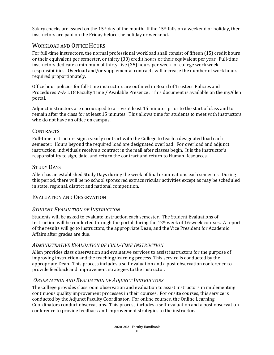Salary checks are issued on the 15<sup>th</sup> day of the month. If the 15<sup>th</sup> falls on a weekend or holiday, then instructors are paid on the Friday before the holiday or weekend.

### <span id="page-30-0"></span>WORKLOAD AND OFFICE HOURS

For full-time instructors, the normal professional workload shall consist of fifteen (15) credit hours or their equivalent per semester, or thirty (30) credit hours or their equivalent per year. Full-time instructors dedicate a minimum of thirty-five (35) hours per week for college work week responsibilities. Overload and/or supplemental contracts will increase the number of work hours required proportionately.

Office hour policies for full-time instructors are outlined in Board of Trustees Policies and Procedures V-A-1.18 [Faculty Time / Available Presence](http://web.allencc.edu/portal/Minutes_Pol/Policyman/V-A-1%2018%20Faculty%20Time%20Available%20Presence.doc) . This document is available on the myAllen portal.

Adjunct instructors are encouraged to arrive at least 15 minutes prior to the start of class and to remain after the class for at least 15 minutes. This allows time for students to meet with instructors who do not have an office on campus.

### <span id="page-30-1"></span>**CONTRACTS**

Full-time instructors sign a yearly contract with the College to teach a designated load each semester. Hours beyond the required load are designated overload. For overload and adjunct instruction, individuals receive a contract in the mail after classes begin. It is the instructor's responsibility to sign, date, and return the contract and return to Human Resources.

### <span id="page-30-2"></span>STUDY DAYS

Allen has an established Study Days during the week of final examinations each semester. During this period, there will be no school sponsored extracurricular activities except as may be scheduled in state, regional, district and national competition.

### <span id="page-30-3"></span>EVALUATION AND OBSERVATION

### <span id="page-30-4"></span>*STUDENT EVALUATION OF INSTRUCTION*

Students will be asked to evaluate instruction each semester. The Student Evaluations of Instruction will be conducted through the portal during the 12th week of 16-week courses. A report of the results will go to instructors, the appropriate Dean, and the Vice President for Academic Affairs after grades are due.

### <span id="page-30-5"></span>*ADMINISTRATIVE EVALUATION OF FULL-TIME INSTRUCTION*

Allen provides class observation and evaluative services to assist instructors for the purpose of improving instruction and the teaching/learning process. This service is conducted by the appropriate Dean. This process includes a self-evaluation and a post observation conference to provide feedback and improvement strategies to the instructor.

### <span id="page-30-6"></span>*OBSERVATION AND EVALUATION OF ADJUNCT INSTRUCTORS*

The College provides classroom observation and evaluation to assist instructors in implementing continuous quality improvement processes in their courses. For onsite courses, this service is conducted by the Adjunct Faculty Coordinator. For online courses, the Online Learning Coordinators conduct observations. This process includes a self-evaluation and a post observation conference to provide feedback and improvement strategies to the instructor.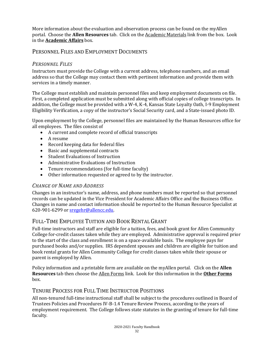More information about the evaluation and observation process can be found on the myAllen portal. Choose the **Allen Resources** tab. Click on the Academic Materials link from the box. Look in the **Academic Affairs** box.

### <span id="page-31-0"></span>PERSONNEL FILES AND EMPLOYMENT DOCUMENTS

### <span id="page-31-1"></span>*PERSONNEL FILES*

Instructors must provide the College with a current address, telephone numbers, and an email address so that the College may contact them with pertinent information and provide them with services in a timely manner.

The College must establish and maintain personnel files and keep employment documents on file. First, a completed application must be submitted along with official copies of college transcripts. In addition, the College must be provided with a W-4, K-4, Kansas State Loyalty Oath, I-9 Employment Eligibility Verification, a copy of the instructor's Social Security card, and a State-issued photo ID.

Upon employment by the College, personnel files are maintained by the Human Resources office for all employees. The files consist of

- A current and complete record of official transcripts
- A resume
- Record keeping data for federal files
- Basic and supplemental contracts
- Student Evaluations of Instruction
- Administrative Evaluations of Instruction
- Tenure recommendations (for full-time faculty)
- Other information requested or agreed to by the instructor.

### <span id="page-31-2"></span>*CHANGE OF NAME AND ADDRESS*

Changes in an instructor's name, address, and phone numbers must be reported so that personnel records can be updated in the Vice President for Academic Affairs Office and the Business Office. Changes in name and contact information should be reported to the Human Resource Specialist at 620-901-6299 o[r sregehr@allencc.edu.](mailto:sregehr@allencc.edu)

### <span id="page-31-3"></span>FULL-TIME EMPLOYEE TUITION AND BOOK RENTAL GRANT

Full-time instructors and staff are eligible for a tuition, fees, and book grant for Allen Community College for-credit classes taken while they are employed. Administrative approval is required prior to the start of the class and enrollment is on a space-available basis. The employee pays for purchased books and/or supplies. IRS dependent spouses and children are eligible for tuition and book rental grants for Allen Community College for credit classes taken while their spouse or parent is employed by Allen.

Policy information and a printable form are available on the myAllen portal. Click on the **Allen Resources** tab then choose the Allen Forms link. Look for this information in the **Other Forms** box.

### <span id="page-31-4"></span>TENURE PROCESS FOR FULL TIME INSTRUCTOR POSITIONS

All non-tenured full-time instructional staff shall be subject to the procedures outlined in Board of Trustees Policies and Procedures IV-B-1.4 [Tenure Review Process,](http://web.allencc.edu/portal/Minutes_Pol/Policyman/IV-B-1.4%20Tenure%20Review%20Process.doc) according to the years of employment requirement. The College follows state statutes in the granting of tenure for full-time faculty.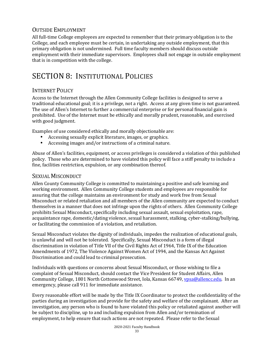### <span id="page-32-0"></span>OUTSIDE EMPLOYMENT

All full-time College employees are expected to remember that their primary obligation is to the College, and each employee must be certain, in undertaking any outside employment, that this primary obligation is not undermined. Full time faculty members should discuss outside employment with their immediate supervisors. Employees shall not engage in outside employment that is in competition with the college.

### <span id="page-32-1"></span>SECTION 8: INSTITUTIONAL POLICIES

### <span id="page-32-2"></span>INTERNET POLICY

Access to the Internet through the Allen Community College facilities is designed to serve a traditional educational goal; it is a privilege, not a right. Access at any given time is not guaranteed. The use of Allen's Internet to further a commercial enterprise or for personal financial gain is prohibited. Use of the Internet must be ethically and morally prudent, reasonable, and exercised with good judgment.

Examples of use considered ethically and morally objectionable are:

- Accessing sexually explicit literature, images, or graphics.
- Accessing images and/or instructions of a criminal nature.

Abuse of Allen's facilities, equipment, or access privileges is considered a violation of this published policy. Those who are determined to have violated this policy will face a stiff penalty to include a fine, facilities restriction, expulsion, or any combination thereof.

### <span id="page-32-3"></span>SEXUAL MISCONDUCT

Allen County Community College is committed to maintaining a positive and safe learning and working environment. Allen Community College students and employees are responsible for assuring that the college maintains an environment for study and work free from Sexual Misconduct or related retaliation and all members of the Allen community are expected to conduct themselves in a manner that does not infringe upon the rights of others. Allen Community College prohibits Sexual Misconduct, specifically including sexual assault, sexual exploitation, rape, acquaintance rape, domestic/dating violence, sexual harassment, stalking, cyber-stalking/bullying, or facilitating the commission of a violation, and retaliation.

Sexual Misconduct violates the dignity of individuals, impedes the realization of educational goals, is unlawful and will not be tolerated. Specifically, Sexual Misconduct is a form of illegal discrimination in violation of Title VII of the Civil Rights Act of 1964, Title IX of the Education Amendments of 1972, The Violence Against Women Act of 1994, and the Kansas Act Against Discrimination and could lead to criminal prosecution.

Individuals with questions or concerns about Sexual Misconduct, or those wishing to file a complaint of Sexual Misconduct, should contact the Vice President for Student Affairs, Allen Community College, 1801 North Cottonwood Street, Iola, Kansas 66749, [vpsa@allencc.edu.](mailto:vpsa@allencc.edu) In an emergency, please call 911 for immediate assistance.

Every reasonable effort will be made by the Title IX Coordinator to protect the confidentiality of the parties during an investigation and provide for the safety and welfare of the complainant. After an investigation, any person who is found to have violated this policy or retaliated against another will be subject to discipline, up to and including expulsion from Allen and/or termination of employment, to help ensure that such actions are not repeated. Please refer to the Sexual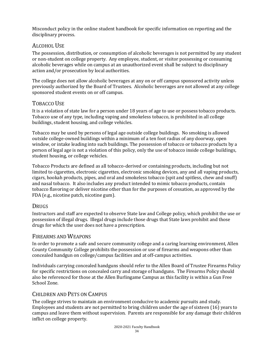Misconduct policy in the online student handbook for specific information on reporting and the disciplinary process.

### <span id="page-33-0"></span>ALCOHOL USE

The possession, distribution, or consumption of alcoholic beverages is not permitted by any student or non-student on college property. Any employee, student, or visitor possessing or consuming alcoholic beverages while on campus at an unauthorized event shall be subject to disciplinary action and/or prosecution by local authorities.

The college does not allow alcoholic beverages at any on or off campus sponsored activity unless previously authorized by the Board of Trustees. Alcoholic beverages are not allowed at any college sponsored student events on or off campus.

### <span id="page-33-1"></span>TOBACCO USE

It is a violation of state law for a person under 18 years of age to use or possess tobacco products. Tobacco use of any type, including vaping and smokeless tobacco, is prohibited in all college buildings, student housing, and college vehicles.

Tobacco may be used by persons of legal age outside college buildings. No smoking is allowed outside college-owned buildings within a minimum of a ten foot radius of any doorway, open window, or intake leading into such buildings. The possession of tobacco or tobacco products by a person of legal age is not a violation of this policy, only the use of tobacco inside college buildings, student housing, or college vehicles.

Tobacco Products are defined as all tobacco-derived or containing products, including but not limited to cigarettes, electronic cigarettes, electronic smoking devices, any and all vaping products, cigars, hookah products, pipes, and oral and smokeless tobacco (spit and spitless, chew and snuff) and nasal tobacco. It also includes any product intended to mimic tobacco products, contain tobacco flavoring or deliver nicotine other than for the purposes of cessation, as approved by the FDA (e.g., nicotine patch, nicotine gum).

### <span id="page-33-2"></span>**DRUGS**

Instructors and staff are expected to observe State law and College policy, which prohibit the use or possession of illegal drugs. Illegal drugs include those drugs that State laws prohibit and those drugs for which the user does not have a prescription.

### <span id="page-33-3"></span>FIREARMS AND WEAPONS

In order to promote a safe and secure community college and a caring learning environment, Allen County Community College prohibits the possession or use of firearms and weapons other than concealed handgun on college/campus facilities and at off-campus activities.

Individuals carrying concealed handguns should refer to the Allen Board of Trustee Firearms Policy for specific restrictions on concealed carry and storage of handguns. The Firearms Policy should also be referenced for those at the Allen Burlingame Campus as this facility is within a Gun Free School Zone.

### <span id="page-33-4"></span>CHILDREN AND PETS ON CAMPUS

The college strives to maintain an environment conducive to academic pursuits and study. Employees and students are not permitted to bring children under the age of sixteen (16) years to campus and leave them without supervision. Parents are responsible for any damage their children inflict on college property.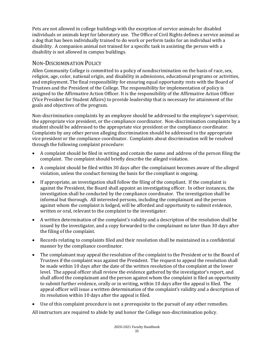Pets are not allowed in college buildings with the exception of service animals for disabled individuals or animals kept for laboratory use. The Office of Civil Rights defines a service animal as a dog that has been individually trained to do work or perform tasks for an individual with a disability. A companion animal not trained for a specific task in assisting the person with a disability is not allowed in campus buildings.

### <span id="page-34-0"></span>NON-DISCRIMINATION POLICY

Allen Community College is committed to a policy of nondiscrimination on the basis of race, sex, religion, age, color, national origin, and disability in admissions, educational programs or activities, and employment. The final responsibility for ensuring equal opportunity rests with the Board of Trustees and the President of the College. The responsibility for implementation of policy is assigned to the Affirmative Action Officer. It is the responsibility of the Affirmative Action Officer (Vice President for Student Affairs) to provide leadership that is necessary for attainment of the goals and objectives of the program.

Non-discrimination complaints by an employee should be addressed to the employee's supervisor, the appropriate vice president, or the compliance coordinator. Non-discrimination complaints by a student should be addressed to the appropriate vice president or the compliance coordinator. Complaints by any other person alleging discrimination should be addressed to the appropriate vice president or the compliance coordinator. Complaints about discrimination will be resolved through the following complaint procedure:

- A complaint should be filed in writing and contain the name and address of the person filing the complaint. The complaint should briefly describe the alleged violation.
- A complaint should be filed within 30 days after the complainant becomes aware of the alleged violation, unless the conduct forming the basis for the compliant is ongoing.
- If appropriate, an investigation shall follow the filing of the compliant. If the complaint is against the President, the Board shall appoint an investigating officer. In other instances, the investigation shall be conducted by the compliance coordinator. The investigation shall be informal but thorough. All interested persons, including the complainant and the person against whom the complaint is lodged, will be afforded and opportunity to submit evidence, written or oral, relevant to the complaint to the investigator.
- A written determination of the complaint's validity and a description of the resolution shall be issued by the investigator, and a copy forwarded to the complainant no later than 30 days after the filing of the complaint.
- Records relating to complaints filed and their resolution shall be maintained in a confidential manner by the compliance coordinator.
- The complainant may appeal the resolution of the complaint to the President or to the Board of Trustees if the complaint was against the President. The request to appeal the resolution shall be made within 10 days after the date of the written resolution of the complaint at the lower level. The appeal officer shall review the evidence gathered by the investigator's report, and shall afford the complainant and the person against whom the complaint is filed an opportunity to submit further evidence, orally or in writing, within 10 days after the appeal is filed. The appeal officer will issue a written determination of the complaint's validity and a description of its resolution within 10 days after the appeal is filed.
- Use of this complaint procedure is not a prerequisite to the pursuit of any other remedies.

All instructors are required to abide by and honor the College non-discrimination policy.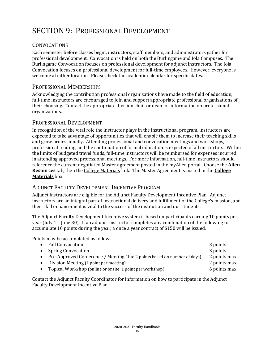### <span id="page-35-0"></span>SECTION 9: PROFESSIONAL DEVELOPMENT

### <span id="page-35-1"></span>**CONVOCATIONS**

Each semester before classes begin, instructors, staff members, and administrators gather for professional development. Convocation is held on both the Burlingame and Iola Campuses. The Burlingame Convocation focuses on professional development for adjunct instructors. The Iola Convocation focuses on professional development for full-time employees. However, everyone is welcome at either location. Please check the academic calendar for specific dates.

### <span id="page-35-2"></span>PROFESSIONAL MEMBERSHIPS

Acknowledging the contribution professional organizations have made to the field of education, full-time instructors are encouraged to join and support appropriate professional organizations of their choosing. Contact the appropriate division chair or dean for information on professional organizations.

### <span id="page-35-3"></span>PROFESSIONAL DEVELOPMENT

In recognition of the vital role the instructor plays in the instructional program, instructors are expected to take advantage of opportunities that will enable them to increase their teaching skills and grow professionally. Attending professional and convocation meetings and workshops, professional reading, and the continuation of formal education is expected of all instructors. Within the limits of budgeted travel funds, full-time instructors will be reimbursed for expenses incurred in attending approved professional meetings. For more information, full-time instructors should reference the current negotiated Master agreement posted in the myAllen portal. Choose the **Allen Resources** tab, then the College Materials link. The Master Agreement is posted in the **College Materials** box.

### <span id="page-35-4"></span>ADJUNCT FACULTY DEVELOPMENT INCENTIVE PROGRAM

Adjunct instructors are eligible for the Adjunct Faculty Development Incentive Plan. Adjunct instructors are an integral part of instructional delivery and fulfillment of the College's mission, and their skill enhancement is vital to the success of the institution and our students.

The Adjunct Faculty Development Incentive system is based on participants earning 10 points per year (July 1 – June 30). If an adjunct instructor completes any combination of the following to accumulate 10 points during the year, a once a year contract of \$150 will be issued.

Points may be accumulated as follows

| • Fall Convocation                                                          | 3 points      |
|-----------------------------------------------------------------------------|---------------|
| • Spring Convocation                                                        | 3 points      |
| • Pre-Approved Conference / Meeting (1 to 2 points based on number of days) | 2 points max  |
| • Division Meeting (1 point per meeting)                                    | 2 points max  |
| • Topical Workshop (online or onsite, 1 point per workshop)                 | 6 points max. |
|                                                                             |               |

Contact the Adjunct Faculty Coordinator for information on how to participate in the Adjunct Faculty Development Incentive Plan.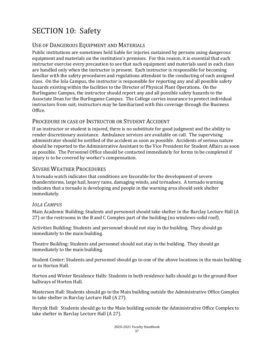### SECTION 10: Safety

### <span id="page-36-0"></span>USE OF DANGEROUS EQUIPMENT AND MATERIALS

Public institutions are sometimes held liable for injuries sustained by persons using dangerous equipment and materials on the institution's premises. For this reason, it is essential that each instructor exercise every precaution to see that such equipment and materials used in each class are handled only when the instructor is present. Each instructor is responsible for becoming familiar with the safety procedures and regulations attendant to the conducting of each assigned class. On the Iola Campus, the instructor is responsible for reporting any and all possible safety hazards existing within the facilities to the Director of Physical Plant Operations. On the Burlingame Campus, the instructor should report any and all possible safety hazards to the Associate Dean for the Burlingame Campus. The College carries insurance to protect individual instructors from suit; instructors may be familiarized with this coverage through the Business Office.

### <span id="page-36-1"></span>PROCEDURE IN CASE OF INSTRUCTOR OR STUDENT ACCIDENT

If an instructor or student is injured, there is no substitute for good judgment and the ability to render discretionary assistance. Ambulance services are available on call. The supervising administrator should be notified of the accident as soon as possible. Accidents of serious nature should be reported to the Administrative Assistant to the Vice President for Student Affairs as soon as possible. The Personnel Office should be contacted immediately for forms to be completed if injury is to be covered by worker's compensation.

### <span id="page-36-2"></span>SEVERE WEATHER PROCEDURES

A tornado watch indicates that conditions are favorable for the development of severe thunderstorms, large hail, heavy rains, damaging winds, and tornadoes. A tornado warning indicates that a tornado is developing and people in the warning area should seek shelter immediately.

### <span id="page-36-3"></span>*IOLA CAMPUS*

Main Academic Building: Students and personnel should take shelter in the Barclay Lecture Hall (A 27) or the restrooms in the B and C Complex part of the building (no windows-solid roof).

Activities Building: Students and personnel should not stay in the building. They should go immediately to the main building.

Theatre Building: Students and personnel should not stay in the building. They should go immediately to the main building.

Student Center: Students and personnel should go to one of the above locations in the main building or to Horton Hall.

Horton and Winter Residence Halls: Students in both residence halls should go to the ground floor hallways of Horton Hall.

Masterson Hall: Students should go to the Main building outside the Administrative Office Complex to take shelter in Barclay Lecture Hall (A 27).

Herynk Hall: Students should go to the Main building outside the Administrative Office Complex to take shelter in Barclay Lecture Hall (A 27).